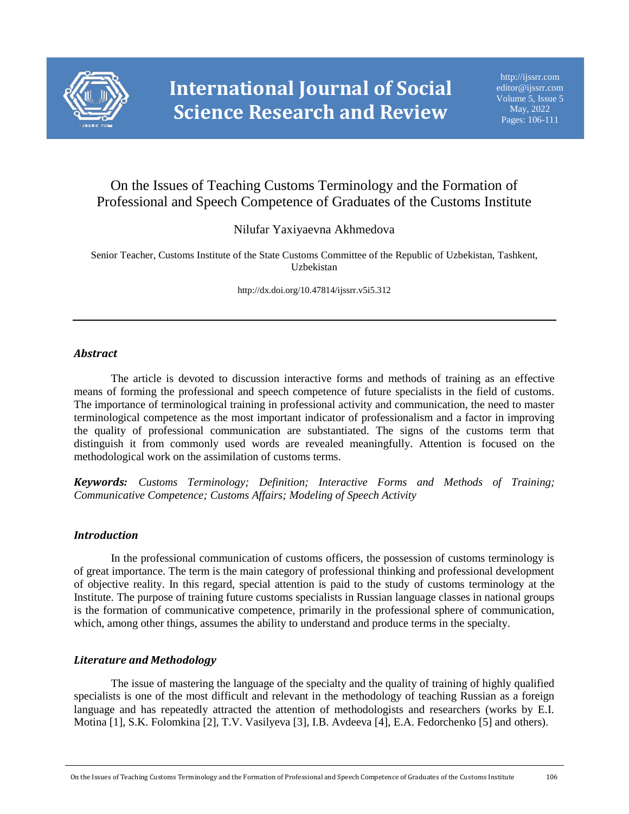

# On the Issues of Teaching Customs Terminology and the Formation of Professional and Speech Competence of Graduates of the Customs Institute

Nilufar Yaxiyaevna Akhmedova

Senior Teacher, Customs Institute of the State Customs Committee of the Republic of Uzbekistan, Tashkent, Uzbekistan

http://dx.doi.org/10.47814/ijssrr.v5i5.312

#### *Abstract*

The article is devoted to discussion interactive forms and methods of training as an effective means of forming the professional and speech competence of future specialists in the field of customs. The importance of terminological training in professional activity and communication, the need to master terminological competence as the most important indicator of professionalism and a factor in improving the quality of professional communication are substantiated. The signs of the customs term that distinguish it from commonly used words are revealed meaningfully. Attention is focused on the methodological work on the assimilation of customs terms.

*Keywords: Customs Terminology; Definition; Interactive Forms and Methods of Training; Communicative Competence; Customs Affairs; Modeling of Speech Activity*

#### *Introduction*

In the professional communication of customs officers, the possession of customs terminology is of great importance. The term is the main category of professional thinking and professional development of objective reality. In this regard, special attention is paid to the study of customs terminology at the Institute. The purpose of training future customs specialists in Russian language classes in national groups is the formation of communicative competence, primarily in the professional sphere of communication, which, among other things, assumes the ability to understand and produce terms in the specialty.

### *Literature and Methodology*

The issue of mastering the language of the specialty and the quality of training of highly qualified specialists is one of the most difficult and relevant in the methodology of teaching Russian as a foreign language and has repeatedly attracted the attention of methodologists and researchers (works by E.I. Motina [1], S.K. Folomkina [2], T.V. Vasilyeva [3], I.B. Avdeeva [4], E.A. Fedorchenko [5] and others).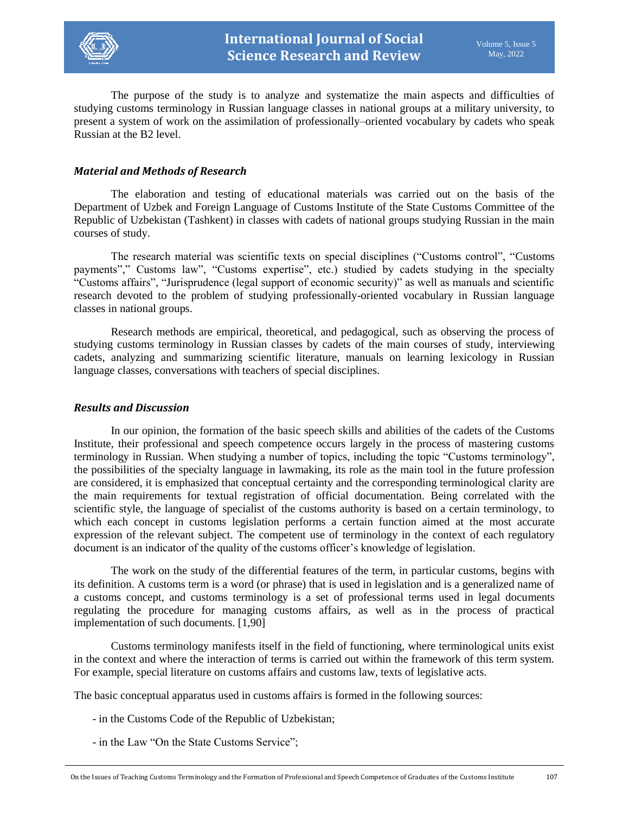

The purpose of the study is to analyze and systematize the main aspects and difficulties of studying customs terminology in Russian language classes in national groups at a military university, to present a system of work on the assimilation of professionally–oriented vocabulary by cadets who speak Russian at the B2 level.

#### *Material and Methods of Research*

The elaboration and testing of educational materials was carried out on the basis of the Department of Uzbek and Foreign Language of Customs Institute of the State Customs Committee of the Republic of Uzbekistan (Tashkent) in classes with cadets of national groups studying Russian in the main courses of study.

The research material was scientific texts on special disciplines ("Customs control", "Customs payments"," Customs law", "Customs expertise", etc.) studied by cadets studying in the specialty "Customs affairs", "Jurisprudence (legal support of economic security)" as well as manuals and scientific research devoted to the problem of studying professionally-oriented vocabulary in Russian language classes in national groups.

Research methods are empirical, theoretical, and pedagogical, such as observing the process of studying customs terminology in Russian classes by cadets of the main courses of study, interviewing cadets, analyzing and summarizing scientific literature, manuals on learning lexicology in Russian language classes, conversations with teachers of special disciplines.

#### *Results and Discussion*

In our opinion, the formation of the basic speech skills and abilities of the cadets of the Customs Institute, their professional and speech competence occurs largely in the process of mastering customs terminology in Russian. When studying a number of topics, including the topic "Customs terminology", the possibilities of the specialty language in lawmaking, its role as the main tool in the future profession are considered, it is emphasized that conceptual certainty and the corresponding terminological clarity are the main requirements for textual registration of official documentation. Being correlated with the scientific style, the language of specialist of the customs authority is based on a certain terminology, to which each concept in customs legislation performs a certain function aimed at the most accurate expression of the relevant subject. The competent use of terminology in the context of each regulatory document is an indicator of the quality of the customs officer's knowledge of legislation.

The work on the study of the differential features of the term, in particular customs, begins with its definition. A customs term is a word (or phrase) that is used in legislation and is a generalized name of a customs concept, and customs terminology is a set of professional terms used in legal documents regulating the procedure for managing customs affairs, as well as in the process of practical implementation of such documents. [1,90]

Customs terminology manifests itself in the field of functioning, where terminological units exist in the context and where the interaction of terms is carried out within the framework of this term system. For example, special literature on customs affairs and customs law, texts of legislative acts.

The basic conceptual apparatus used in customs affairs is formed in the following sources:

- in the Customs Code of the Republic of Uzbekistan;
- in the Law "On the State Customs Service";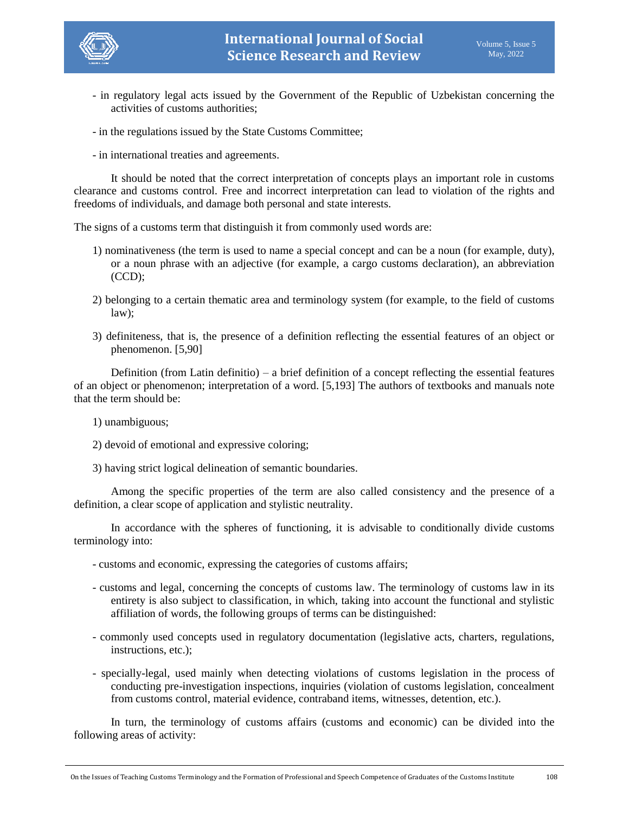

- in regulatory legal acts issued by the Government of the Republic of Uzbekistan concerning the activities of customs authorities;
- in the regulations issued by the State Customs Committee;
- in international treaties and agreements.

It should be noted that the correct interpretation of concepts plays an important role in customs clearance and customs control. Free and incorrect interpretation can lead to violation of the rights and freedoms of individuals, and damage both personal and state interests.

The signs of a customs term that distinguish it from commonly used words are:

- 1) nominativeness (the term is used to name a special concept and can be a noun (for example, duty), or a noun phrase with an adjective (for example, a cargo customs declaration), an abbreviation (CCD);
- 2) belonging to a certain thematic area and terminology system (for example, to the field of customs law);
- 3) definiteness, that is, the presence of a definition reflecting the essential features of an object or phenomenon. [5,90]

Definition (from Latin definitio) – a brief definition of a concept reflecting the essential features of an object or phenomenon; interpretation of a word. [5,193] The authors of textbooks and manuals note that the term should be:

- 1) unambiguous;
- 2) devoid of emotional and expressive coloring;
- 3) having strict logical delineation of semantic boundaries.

Among the specific properties of the term are also called consistency and the presence of a definition, a clear scope of application and stylistic neutrality.

In accordance with the spheres of functioning, it is advisable to conditionally divide customs terminology into:

- customs and economic, expressing the categories of customs affairs;
- customs and legal, concerning the concepts of customs law. The terminology of customs law in its entirety is also subject to classification, in which, taking into account the functional and stylistic affiliation of words, the following groups of terms can be distinguished:
- commonly used concepts used in regulatory documentation (legislative acts, charters, regulations, instructions, etc.);
- specially-legal, used mainly when detecting violations of customs legislation in the process of conducting pre-investigation inspections, inquiries (violation of customs legislation, concealment from customs control, material evidence, contraband items, witnesses, detention, etc.).

In turn, the terminology of customs affairs (customs and economic) can be divided into the following areas of activity: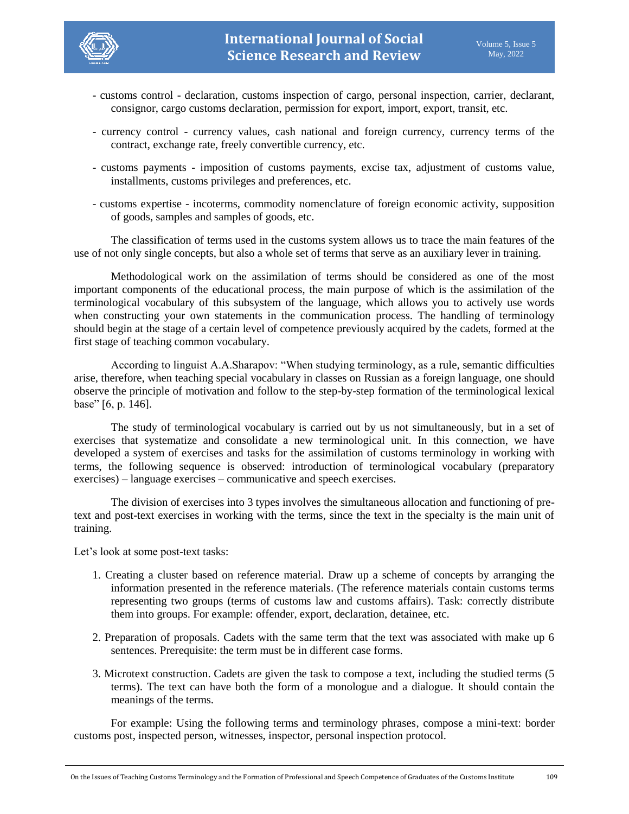

- customs control declaration, customs inspection of cargo, personal inspection, carrier, declarant, consignor, cargo customs declaration, permission for export, import, export, transit, etc.
- currency control currency values, cash national and foreign currency, currency terms of the contract, exchange rate, freely convertible currency, etc.
- customs payments imposition of customs payments, excise tax, adjustment of customs value, installments, customs privileges and preferences, etc.
- customs expertise incoterms, commodity nomenclature of foreign economic activity, supposition of goods, samples and samples of goods, etc.

The classification of terms used in the customs system allows us to trace the main features of the use of not only single concepts, but also a whole set of terms that serve as an auxiliary lever in training.

Methodological work on the assimilation of terms should be considered as one of the most important components of the educational process, the main purpose of which is the assimilation of the terminological vocabulary of this subsystem of the language, which allows you to actively use words when constructing your own statements in the communication process. The handling of terminology should begin at the stage of a certain level of competence previously acquired by the cadets, formed at the first stage of teaching common vocabulary.

According to linguist A.A.Sharapov: "When studying terminology, as a rule, semantic difficulties arise, therefore, when teaching special vocabulary in classes on Russian as a foreign language, one should observe the principle of motivation and follow to the step-by-step formation of the terminological lexical base" [6, p. 146].

The study of terminological vocabulary is carried out by us not simultaneously, but in a set of exercises that systematize and consolidate a new terminological unit. In this connection, we have developed a system of exercises and tasks for the assimilation of customs terminology in working with terms, the following sequence is observed: introduction of terminological vocabulary (preparatory exercises) – language exercises – communicative and speech exercises.

The division of exercises into 3 types involves the simultaneous allocation and functioning of pretext and post-text exercises in working with the terms, since the text in the specialty is the main unit of training.

Let's look at some post-text tasks:

- 1. Creating a cluster based on reference material. Draw up a scheme of concepts by arranging the information presented in the reference materials. (The reference materials contain customs terms representing two groups (terms of customs law and customs affairs). Task: correctly distribute them into groups. For example: offender, export, declaration, detainee, etc.
- 2. Preparation of proposals. Cadets with the same term that the text was associated with make up 6 sentences. Prerequisite: the term must be in different case forms.
- 3. Microtext construction. Cadets are given the task to compose a text, including the studied terms (5 terms). The text can have both the form of a monologue and a dialogue. It should contain the meanings of the terms.

For example: Using the following terms and terminology phrases, compose a mini-text: border customs post, inspected person, witnesses, inspector, personal inspection protocol.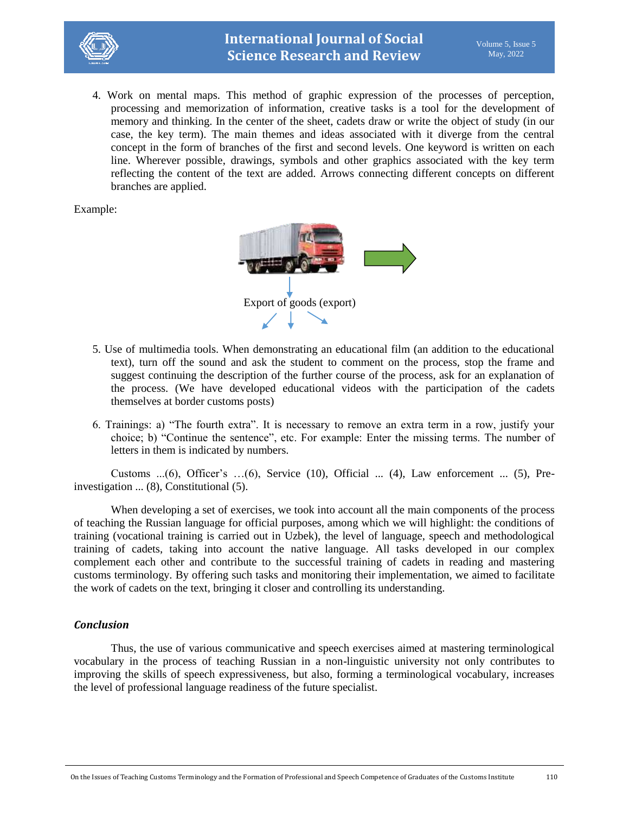

4. Work on mental maps. This method of graphic expression of the processes of perception, processing and memorization of information, creative tasks is a tool for the development of memory and thinking. In the center of the sheet, cadets draw or write the object of study (in our case, the key term). The main themes and ideas associated with it diverge from the central concept in the form of branches of the first and second levels. One keyword is written on each line. Wherever possible, drawings, symbols and other graphics associated with the key term reflecting the content of the text are added. Arrows connecting different concepts on different branches are applied.

Example:



- 5. Use of multimedia tools. When demonstrating an educational film (an addition to the educational text), turn off the sound and ask the student to comment on the process, stop the frame and suggest continuing the description of the further course of the process, ask for an explanation of the process. (We have developed educational videos with the participation of the cadets themselves at border customs posts)
- 6. Trainings: a) "The fourth extra". It is necessary to remove an extra term in a row, justify your choice; b) "Continue the sentence", etc. For example: Enter the missing terms. The number of letters in them is indicated by numbers.

Customs  $...(6)$ , Officer's  $...(6)$ , Service (10), Official  $...(4)$ , Law enforcement  $...(5)$ , Preinvestigation ... (8), Constitutional (5).

When developing a set of exercises, we took into account all the main components of the process of teaching the Russian language for official purposes, among which we will highlight: the conditions of training (vocational training is carried out in Uzbek), the level of language, speech and methodological training of cadets, taking into account the native language. All tasks developed in our complex complement each other and contribute to the successful training of cadets in reading and mastering customs terminology. By offering such tasks and monitoring their implementation, we aimed to facilitate the work of cadets on the text, bringing it closer and controlling its understanding.

### *Conclusion*

Thus, the use of various communicative and speech exercises aimed at mastering terminological vocabulary in the process of teaching Russian in a non-linguistic university not only contributes to improving the skills of speech expressiveness, but also, forming a terminological vocabulary, increases the level of professional language readiness of the future specialist.